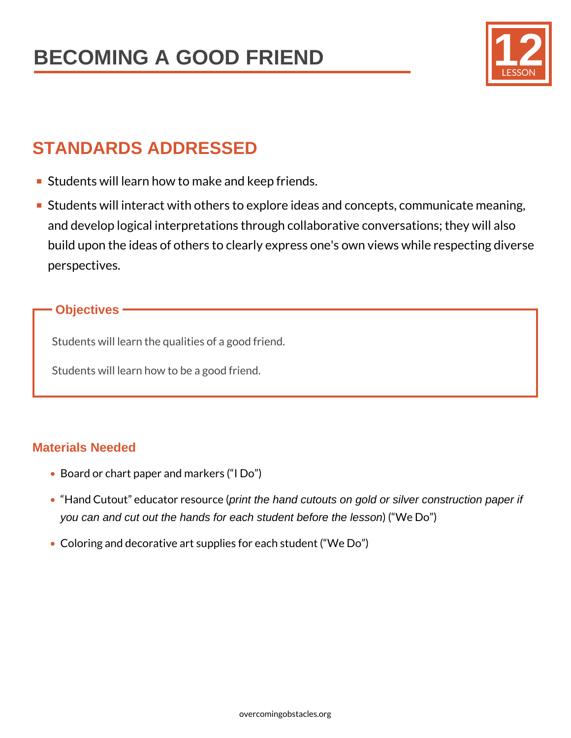

# **STANDARDS ADDRESSED**

- **Students will learn how to make and keep friends.**
- **Students will interact with others to explore ideas and concepts, communicate meaning,** and develop logical interpretations through collaborative conversations; they will also build upon the ideas of others to clearly express one's own views while respecting diverse perspectives.

### **Objectives**

Students will learn the qualities of a good friend.

Students will learn how to be a good friend.

### **Materials Needed**

- Board or chart paper and markers ("I Do")
- "Hand Cutout" educator resource (print the hand cutouts on gold or silver construction paper if you can and cut out the hands for each student before the lesson) ("We Do")
- Coloring and decorative art supplies for each student ("We Do")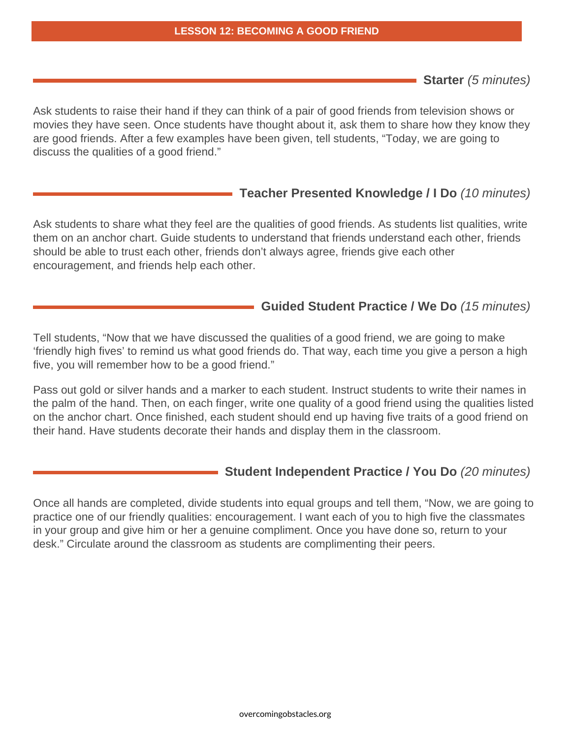**Starter** (5 minutes)

Ask students to raise their hand if they can think of a pair of good friends from television shows or movies they have seen. Once students have thought about it, ask them to share how they know they are good friends. After a few examples have been given, tell students, "Today, we are going to discuss the qualities of a good friend."

### **Teacher Presented Knowledge / I Do** (10 minutes)

Ask students to share what they feel are the qualities of good friends. As students list qualities, write them on an anchor chart. Guide students to understand that friends understand each other, friends should be able to trust each other, friends don't always agree, friends give each other encouragement, and friends help each other.

### **Guided Student Practice / We Do** (15 minutes)

Tell students, "Now that we have discussed the qualities of a good friend, we are going to make 'friendly high fives' to remind us what good friends do. That way, each time you give a person a high five, you will remember how to be a good friend."

Pass out gold or silver hands and a marker to each student. Instruct students to write their names in the palm of the hand. Then, on each finger, write one quality of a good friend using the qualities listed on the anchor chart. Once finished, each student should end up having five traits of a good friend on their hand. Have students decorate their hands and display them in the classroom.

#### **Student Independent Practice / You Do** (20 minutes)

Once all hands are completed, divide students into equal groups and tell them, "Now, we are going to practice one of our friendly qualities: encouragement. I want each of you to high five the classmates in your group and give him or her a genuine compliment. Once you have done so, return to your desk." Circulate around the classroom as students are complimenting their peers.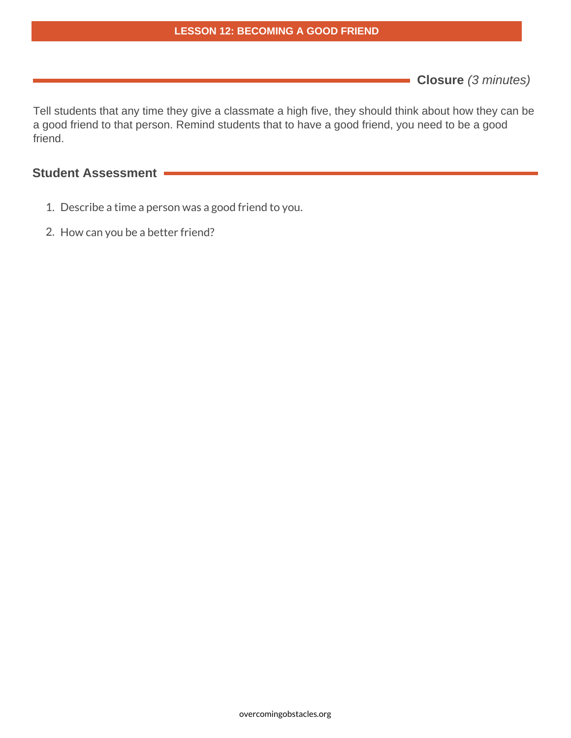**Closure** (3 minutes)

Tell students that any time they give a classmate a high five, they should think about how they can be a good friend to that person. Remind students that to have a good friend, you need to be a good friend.

### **Student Assessment**

- 1. Describe a time a person was a good friend to you.
- 2. How can you be a better friend?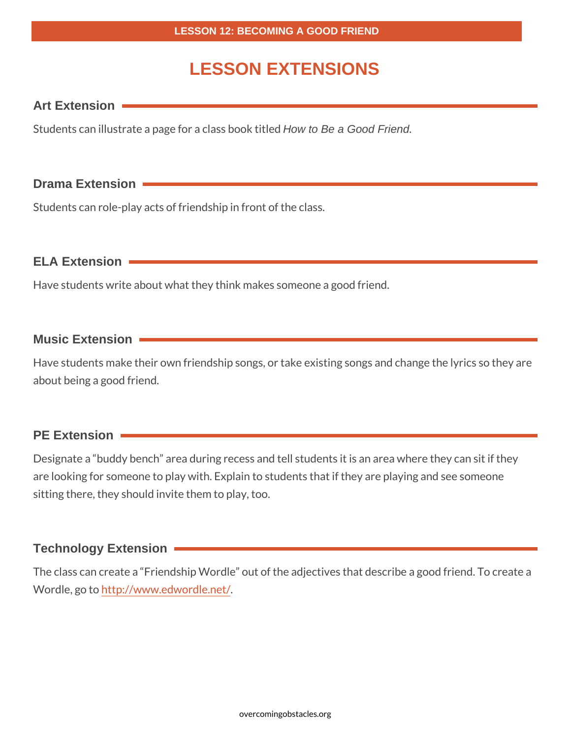## **LESSON EXTENSIONS**

### **Art Extension**

Students can illustrate a page for a class book titled How to Be a Good Friend.

### **Drama Extension**

Students can role-play acts of friendship in front of the class.

**ELA Extension**

Have students write about what they think makes someone a good friend.

### **Music Extension**

Have students make their own friendship songs, or take existing songs and change the lyrics so they are about being a good friend.

### **PE Extension**

Designate a "buddy bench" area during recess and tell students it is an area where they can sit if they are looking for someone to play with. Explain to students that if they are playing and see someone sitting there, they should invite them to play, too.

### **Technology Extension**

The class can create a "Friendship Wordle" out of the adjectives that describe a good friend. To create a Wordle, go to http://www.edwordle.net/.